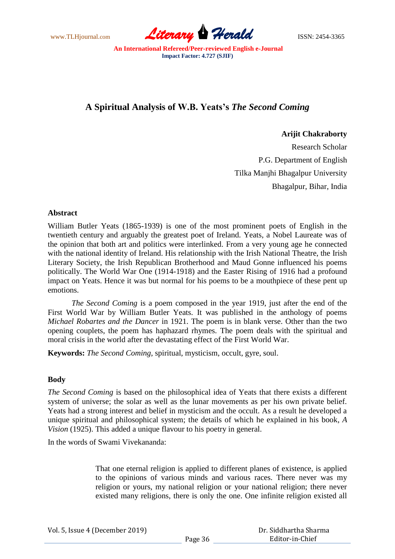www.TLHjournal.com **Literary Herald Herald** ISSN: 2454-3365

# **A Spiritual Analysis of W.B. Yeats's** *The Second Coming*

## **Arijit Chakraborty**

Research Scholar P.G. Department of English Tilka Manjhi Bhagalpur University Bhagalpur, Bihar, India

### **Abstract**

William Butler Yeats (1865-1939) is one of the most prominent poets of English in the twentieth century and arguably the greatest poet of Ireland. Yeats, a Nobel Laureate was of the opinion that both art and politics were interlinked. From a very young age he connected with the national identity of Ireland. His relationship with the Irish National Theatre, the Irish Literary Society, the Irish Republican Brotherhood and Maud Gonne influenced his poems politically. The World War One (1914-1918) and the Easter Rising of 1916 had a profound impact on Yeats. Hence it was but normal for his poems to be a mouthpiece of these pent up emotions.

*The Second Coming* is a poem composed in the year 1919, just after the end of the First World War by William Butler Yeats. It was published in the anthology of poems *Michael Robartes and the Dancer* in 1921. The poem is in blank verse. Other than the two opening couplets, the poem has haphazard rhymes. The poem deals with the spiritual and moral crisis in the world after the devastating effect of the First World War.

**Keywords:** *The Second Coming*, spiritual, mysticism, occult, gyre, soul.

### **Body**

*The Second Coming* is based on the philosophical idea of Yeats that there exists a different system of universe; the solar as well as the lunar movements as per his own private belief. Yeats had a strong interest and belief in mysticism and the occult. As a result he developed a unique spiritual and philosophical system; the details of which he explained in his book, *A Vision* (1925). This added a unique flavour to his poetry in general.

In the words of Swami Vivekananda:

That one eternal religion is applied to different planes of existence, is applied to the opinions of various minds and various races. There never was my religion or yours, my national religion or your national religion; there never existed many religions, there is only the one. One infinite religion existed all

|  | Vol. 5, Issue 4 (December 2019) |  |
|--|---------------------------------|--|
|--|---------------------------------|--|

 Dr. Siddhartha Sharma Editor-in-Chief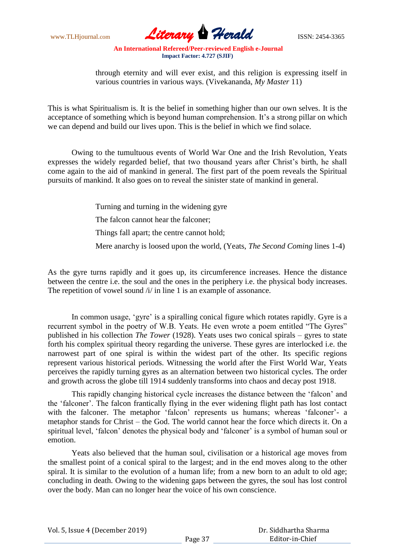www.TLHjournal.com **Literary Herald ISSN: 2454-3365** 

through eternity and will ever exist, and this religion is expressing itself in various countries in various ways. (Vivekananda, *My Master* 11)

This is what Spiritualism is. It is the belief in something higher than our own selves. It is the acceptance of something which is beyond human comprehension. It's a strong pillar on which we can depend and build our lives upon. This is the belief in which we find solace.

Owing to the tumultuous events of World War One and the Irish Revolution, Yeats expresses the widely regarded belief, that two thousand years after Christ's birth, he shall come again to the aid of mankind in general. The first part of the poem reveals the Spiritual pursuits of mankind. It also goes on to reveal the sinister state of mankind in general.

> Turning and turning in the widening gyre The falcon cannot hear the falconer;

Things fall apart; the centre cannot hold;

Mere anarchy is loosed upon the world, (Yeats, *The Second Coming* lines 1-4)

As the gyre turns rapidly and it goes up, its circumference increases. Hence the distance between the centre i.e. the soul and the ones in the periphery i.e. the physical body increases. The repetition of vowel sound /i/ in line 1 is an example of assonance.

In common usage, 'gyre' is a spiralling conical figure which rotates rapidly. Gyre is a recurrent symbol in the poetry of W.B. Yeats. He even wrote a poem entitled "The Gyres" published in his collection *The Tower* (1928). Yeats uses two conical spirals – gyres to state forth his complex spiritual theory regarding the universe. These gyres are interlocked i.e. the narrowest part of one spiral is within the widest part of the other. Its specific regions represent various historical periods. Witnessing the world after the First World War, Yeats perceives the rapidly turning gyres as an alternation between two historical cycles. The order and growth across the globe till 1914 suddenly transforms into chaos and decay post 1918.

This rapidly changing historical cycle increases the distance between the "falcon" and the "falconer". The falcon frantically flying in the ever widening flight path has lost contact with the falconer. The metaphor 'falcon' represents us humans; whereas 'falconer'- a metaphor stands for Christ – the God. The world cannot hear the force which directs it. On a spiritual level, 'falcon' denotes the physical body and 'falconer' is a symbol of human soul or emotion.

Yeats also believed that the human soul, civilisation or a historical age moves from the smallest point of a conical spiral to the largest; and in the end moves along to the other spiral. It is similar to the evolution of a human life; from a new born to an adult to old age; concluding in death. Owing to the widening gaps between the gyres, the soul has lost control over the body. Man can no longer hear the voice of his own conscience.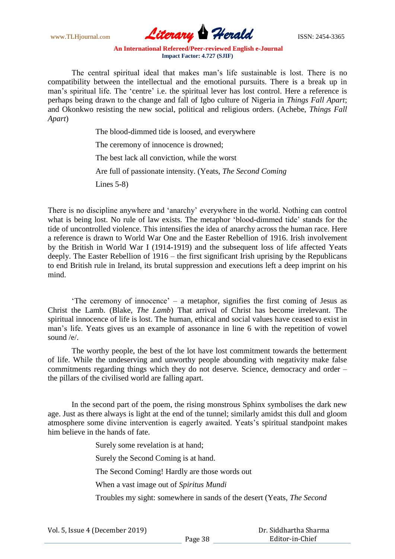www.TLHjournal.com **Literary Herald ISSN: 2454-3365** 

The central spiritual ideal that makes man"s life sustainable is lost. There is no compatibility between the intellectual and the emotional pursuits. There is a break up in man's spiritual life. The 'centre' i.e. the spiritual lever has lost control. Here a reference is perhaps being drawn to the change and fall of Igbo culture of Nigeria in *Things Fall Apart*; and Okonkwo resisting the new social, political and religious orders. (Achebe, *Things Fall Apart*)

> The blood-dimmed tide is loosed, and everywhere The ceremony of innocence is drowned; The best lack all conviction, while the worst Are full of passionate intensity. (Yeats, *The Second Coming* Lines 5-8)

There is no discipline anywhere and "anarchy" everywhere in the world. Nothing can control what is being lost. No rule of law exists. The metaphor "blood-dimmed tide" stands for the tide of uncontrolled violence. This intensifies the idea of anarchy across the human race. Here a reference is drawn to World War One and the Easter Rebellion of 1916. Irish involvement by the British in World War I (1914-1919) and the subsequent loss of life affected Yeats deeply. The Easter Rebellion of 1916 – the first significant Irish uprising by the Republicans to end British rule in Ireland, its brutal suppression and executions left a deep imprint on his mind.

"The ceremony of innocence" – a metaphor, signifies the first coming of Jesus as Christ the Lamb. (Blake, *The Lamb*) That arrival of Christ has become irrelevant. The spiritual innocence of life is lost. The human, ethical and social values have ceased to exist in man"s life. Yeats gives us an example of assonance in line 6 with the repetition of vowel sound /e/.

The worthy people, the best of the lot have lost commitment towards the betterment of life. While the undeserving and unworthy people abounding with negativity make false commitments regarding things which they do not deserve. Science, democracy and order – the pillars of the civilised world are falling apart.

In the second part of the poem, the rising monstrous Sphinx symbolises the dark new age. Just as there always is light at the end of the tunnel; similarly amidst this dull and gloom atmosphere some divine intervention is eagerly awaited. Yeats"s spiritual standpoint makes him believe in the hands of fate.

Surely some revelation is at hand;

Surely the Second Coming is at hand.

The Second Coming! Hardly are those words out

When a vast image out of *Spiritus Mundi*

Troubles my sight: somewhere in sands of the desert (Yeats, *The Second*

 Dr. Siddhartha Sharma Editor-in-Chief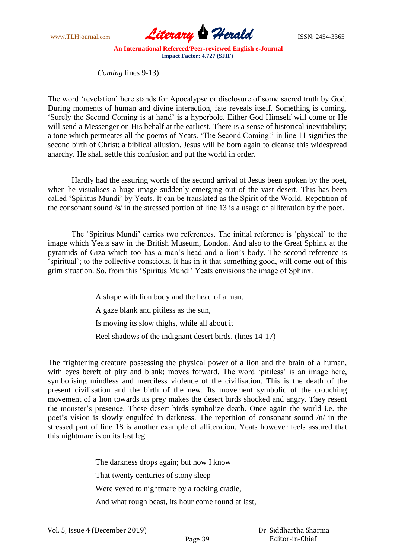

*Coming* lines 9-13)

The word "revelation" here stands for Apocalypse or disclosure of some sacred truth by God. During moments of human and divine interaction, fate reveals itself. Something is coming. "Surely the Second Coming is at hand" is a hyperbole. Either God Himself will come or He will send a Messenger on His behalf at the earliest. There is a sense of historical inevitability; a tone which permeates all the poems of Yeats. "The Second Coming!" in line 11 signifies the second birth of Christ; a biblical allusion. Jesus will be born again to cleanse this widespread anarchy. He shall settle this confusion and put the world in order.

Hardly had the assuring words of the second arrival of Jesus been spoken by the poet, when he visualises a huge image suddenly emerging out of the vast desert. This has been called "Spiritus Mundi" by Yeats. It can be translated as the Spirit of the World. Repetition of the consonant sound /s/ in the stressed portion of line 13 is a usage of alliteration by the poet.

The "Spiritus Mundi" carries two references. The initial reference is "physical" to the image which Yeats saw in the British Museum, London. And also to the Great Sphinx at the pyramids of Giza which too has a man"s head and a lion"s body. The second reference is 'spiritual'; to the collective conscious. It has in it that something good, will come out of this grim situation. So, from this "Spiritus Mundi" Yeats envisions the image of Sphinx.

> A shape with lion body and the head of a man, A gaze blank and pitiless as the sun, Is moving its slow thighs, while all about it Reel shadows of the indignant desert birds. (lines 14-17)

The frightening creature possessing the physical power of a lion and the brain of a human, with eyes bereft of pity and blank; moves forward. The word 'pitiless' is an image here, symbolising mindless and merciless violence of the civilisation. This is the death of the present civilisation and the birth of the new. Its movement symbolic of the crouching movement of a lion towards its prey makes the desert birds shocked and angry. They resent the monster"s presence. These desert birds symbolize death. Once again the world i.e. the poet's vision is slowly engulfed in darkness. The repetition of consonant sound  $/n/$  in the stressed part of line 18 is another example of alliteration. Yeats however feels assured that this nightmare is on its last leg.

The darkness drops again; but now I know

That twenty centuries of stony sleep

Were vexed to nightmare by a rocking cradle,

And what rough beast, its hour come round at last,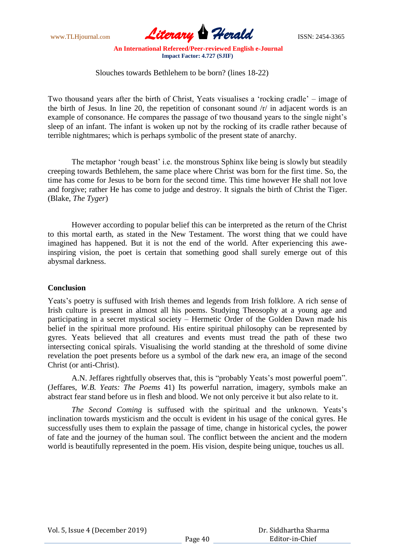www.TLHjournal.com **Literary Herald Herald** ISSN: 2454-3365

Slouches towards Bethlehem to be born? (lines 18-22)

Two thousand years after the birth of Christ, Yeats visualises a "rocking cradle" – image of the birth of Jesus. In line 20, the repetition of consonant sound /r/ in adjacent words is an example of consonance. He compares the passage of two thousand years to the single night's sleep of an infant. The infant is woken up not by the rocking of its cradle rather because of terrible nightmares; which is perhaps symbolic of the present state of anarchy.

The metaphor 'rough beast' i.e. the monstrous Sphinx like being is slowly but steadily creeping towards Bethlehem, the same place where Christ was born for the first time. So, the time has come for Jesus to be born for the second time. This time however He shall not love and forgive; rather He has come to judge and destroy. It signals the birth of Christ the Tiger. (Blake, *The Tyger*)

However according to popular belief this can be interpreted as the return of the Christ to this mortal earth, as stated in the New Testament. The worst thing that we could have imagined has happened. But it is not the end of the world. After experiencing this aweinspiring vision, the poet is certain that something good shall surely emerge out of this abysmal darkness.

### **Conclusion**

Yeats's poetry is suffused with Irish themes and legends from Irish folklore. A rich sense of Irish culture is present in almost all his poems. Studying Theosophy at a young age and participating in a secret mystical society – Hermetic Order of the Golden Dawn made his belief in the spiritual more profound. His entire spiritual philosophy can be represented by gyres. Yeats believed that all creatures and events must tread the path of these two intersecting conical spirals. Visualising the world standing at the threshold of some divine revelation the poet presents before us a symbol of the dark new era, an image of the second Christ (or anti-Christ).

A.N. Jeffares rightfully observes that, this is "probably Yeats's most powerful poem". (Jeffares, *W.B. Yeats: The Poems* 41) Its powerful narration, imagery, symbols make an abstract fear stand before us in flesh and blood. We not only perceive it but also relate to it.

*The Second Coming* is suffused with the spiritual and the unknown. Yeats"s inclination towards mysticism and the occult is evident in his usage of the conical gyres. He successfully uses them to explain the passage of time, change in historical cycles, the power of fate and the journey of the human soul. The conflict between the ancient and the modern world is beautifully represented in the poem. His vision, despite being unique, touches us all.